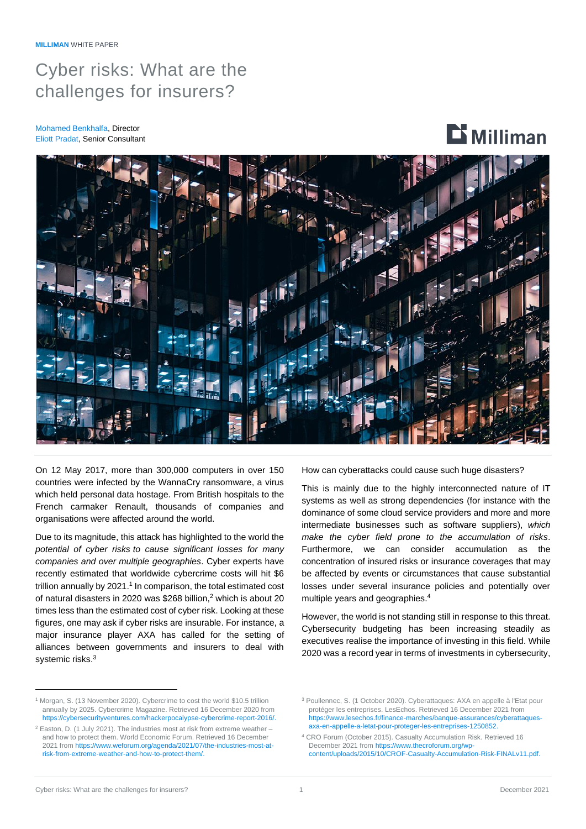## Cyber risks: What are the challenges for insurers?

Mohamed Benkhalfa, Director Eliott Pradat, Senior Consultant

# $\mathbf{D}$  Milliman



On 12 May 2017, more than 300,000 computers in over 150 countries were infected by the WannaCry ransomware, a virus which held personal data hostage. From British hospitals to the French carmaker Renault, thousands of companies and organisations were affected around the world.

Due to its magnitude, this attack has highlighted to the world the *potential of cyber risks to cause significant losses for many companies and over multiple geographies*. Cyber experts have recently estimated that worldwide cybercrime costs will hit \$6 trillion annually by 2021. 1 In comparison, the total estimated cost of natural disasters in 2020 was \$268 billion, <sup>2</sup> which is about 20 times less than the estimated cost of cyber risk. Looking at these figures, one may ask if cyber risks are insurable. For instance, a major insurance player AXA has called for the setting of alliances between governments and insurers to deal with systemic risks.<sup>3</sup>

How can cyberattacks could cause such huge disasters?

This is mainly due to the highly interconnected nature of IT systems as well as strong dependencies (for instance with the dominance of some cloud service providers and more and more intermediate businesses such as software suppliers), *which make the cyber field prone to the accumulation of risks*. Furthermore, we can consider accumulation as the concentration of insured risks or insurance coverages that may be affected by events or circumstances that cause substantial losses under several insurance policies and potentially over multiple years and geographies. 4

However, the world is not standing still in response to this threat. Cybersecurity budgeting has been increasing steadily as executives realise the importance of investing in this field. While 2020 was a record year in terms of investments in cybersecurity,

<sup>4</sup> CRO Forum (October 2015). Casualty Accumulation Risk. Retrieved 16 December 2021 fro[m https://www.thecroforum.org/wp](https://www.thecroforum.org/wp-content/uploads/2015/10/CROF-Casualty-Accumulation-Risk-FINALv11.pdf)[content/uploads/2015/10/CROF-Casualty-Accumulation-Risk-FINALv11.pdf.](https://www.thecroforum.org/wp-content/uploads/2015/10/CROF-Casualty-Accumulation-Risk-FINALv11.pdf)

<sup>1</sup> Morgan, S. (13 November 2020). Cybercrime to cost the world \$10.5 trillion annually by 2025. Cybercrime Magazine. Retrieved 16 December 2020 from [https://cybersecurityventures.com/hackerpocalypse-cybercrime-report-2016/.](https://cybersecurityventures.com/hackerpocalypse-cybercrime-report-2016/)

 $2$  Easton, D. (1 July 2021). The industries most at risk from extreme weather – and how to protect them. World Economic Forum. Retrieved 16 December 2021 fro[m https://www.weforum.org/agenda/2021/07/the-industries-most-at](https://www.weforum.org/agenda/2021/07/the-industries-most-at-risk-from-extreme-weather-and-how-to-protect-them/)[risk-from-extreme-weather-and-how-to-protect-them/.](https://www.weforum.org/agenda/2021/07/the-industries-most-at-risk-from-extreme-weather-and-how-to-protect-them/)

<sup>3</sup> Poullennec, S. (1 October 2020). Cyberattaques: AXA en appelle à l'Etat pour protéger les entreprises. LesEchos. Retrieved 16 December 2021 from [https://www.lesechos.fr/finance-marches/banque-assurances/cyberattaques](https://www.lesechos.fr/finance-marches/banque-assurances/cyberattaques-axa-en-appelle-a-letat-pour-proteger-les-entreprises-1250852)[axa-en-appelle-a-letat-pour-proteger-les-entreprises-1250852.](https://www.lesechos.fr/finance-marches/banque-assurances/cyberattaques-axa-en-appelle-a-letat-pour-proteger-les-entreprises-1250852)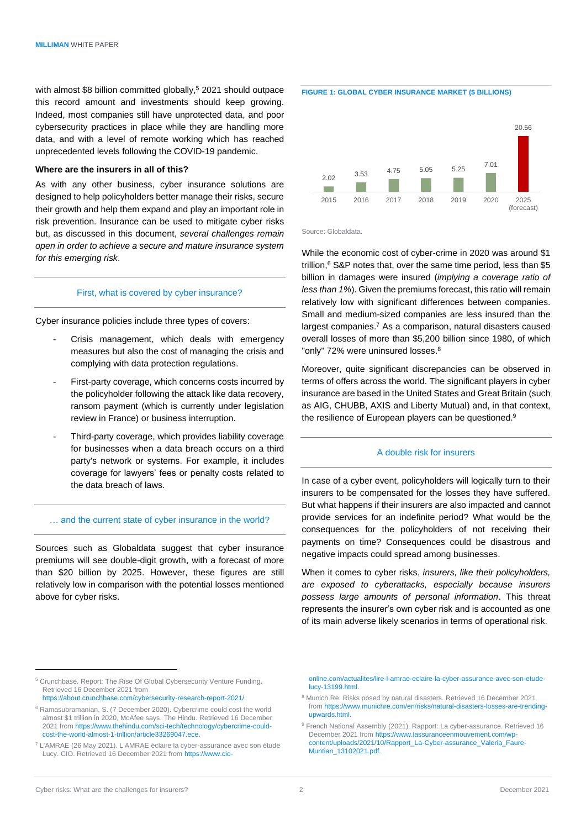with almost \$8 billion committed globally, <sup>5</sup> 2021 should outpace this record amount and investments should keep growing. Indeed, most companies still have unprotected data, and poor cybersecurity practices in place while they are handling more data, and with a level of remote working which has reached unprecedented levels following the COVID-19 pandemic.

## **Where are the insurers in all of this?**

As with any other business, cyber insurance solutions are designed to help policyholders better manage their risks, secure their growth and help them expand and play an important role in risk prevention. Insurance can be used to mitigate cyber risks but, as discussed in this document, *several challenges remain open in order to achieve a secure and mature insurance system for this emerging risk*.

## First, what is covered by cyber insurance?

Cyber insurance policies include three types of covers:

- Crisis management, which deals with emergency measures but also the cost of managing the crisis and complying with data protection regulations.
- First-party coverage, which concerns costs incurred by the policyholder following the attack like data recovery, ransom payment (which is currently under legislation review in France) or business interruption.
- Third-party coverage, which provides liability coverage for businesses when a data breach occurs on a third party's network or systems. For example, it includes coverage for lawyers' fees or penalty costs related to the data breach of laws.

#### … and the current state of cyber insurance in the world?

Sources such as Globaldata suggest that cyber insurance premiums will see double-digit growth, with a forecast of more than \$20 billion by 2025. However, these figures are still relatively low in comparison with the potential losses mentioned above for cyber risks.



**FIGURE 1: GLOBAL CYBER INSURANCE MARKET (\$ BILLIONS)**



Source: Globaldata.

While the economic cost of cyber-crime in 2020 was around \$1 trillion, <sup>6</sup> S&P notes that, over the same time period, less than \$5 billion in damages were insured (*implying a coverage ratio of less than 1%*). Given the premiums forecast, this ratio will remain relatively low with significant differences between companies. Small and medium-sized companies are less insured than the largest companies. <sup>7</sup> As a comparison, natural disasters caused overall losses of more than \$5,200 billion since 1980, of which "only" 72% were uninsured losses.<sup>8</sup>

Moreover, quite significant discrepancies can be observed in terms of offers across the world. The significant players in cyber insurance are based in the United States and Great Britain (such as AIG, CHUBB, AXIS and Liberty Mutual) and, in that context, the resilience of European players can be questioned.<sup>9</sup>

#### A double risk for insurers

In case of a cyber event, policyholders will logically turn to their insurers to be compensated for the losses they have suffered. But what happens if their insurers are also impacted and cannot provide services for an indefinite period? What would be the consequences for the policyholders of not receiving their payments on time? Consequences could be disastrous and negative impacts could spread among businesses.

When it comes to cyber risks, *insurers, like their policyholders, are exposed to cyberattacks, especially because insurers possess large amounts of personal information*. This threat represents the insurer's own cyber risk and is accounted as one of its main adverse likely scenarios in terms of operational risk.

<sup>7</sup> L'AMRAE (26 May 2021). L'AMRAE éclaire la cyber-assurance avec son étude Lucy. CIO. Retrieved 16 December 2021 fro[m https://www.cio-](https://www.cio-online.com/actualites/lire-l-amrae-eclaire-la-cyber-assurance-avec-son-etude-lucy-13199.html)

[online.com/actualites/lire-l-amrae-eclaire-la-cyber-assurance-avec-son-etude](https://www.cio-online.com/actualites/lire-l-amrae-eclaire-la-cyber-assurance-avec-son-etude-lucy-13199.html)[lucy-13199.html.](https://www.cio-online.com/actualites/lire-l-amrae-eclaire-la-cyber-assurance-avec-son-etude-lucy-13199.html)

<sup>5</sup> Crunchbase. Report: The Rise Of Global Cybersecurity Venture Funding. Retrieved 16 December 2021 from [https://about.crunchbase.com/cybersecurity-research-report-2021/.](https://about.crunchbase.com/cybersecurity-research-report-2021/)

<sup>6</sup> Ramasubramanian, S. (7 December 2020). Cybercrime could cost the world almost \$1 trillion in 2020, McAfee says. The Hindu. Retrieved 16 December 2021 fro[m https://www.thehindu.com/sci-tech/technology/cybercrime-could](https://www.thehindu.com/sci-tech/technology/cybercrime-could-cost-the-world-almost-1-trillion/article33269047.ece)[cost-the-world-almost-1-trillion/article33269047.ece.](https://www.thehindu.com/sci-tech/technology/cybercrime-could-cost-the-world-almost-1-trillion/article33269047.ece)

<sup>8</sup> Munich Re. Risks posed by natural disasters. Retrieved 16 December 2021 from [https://www.munichre.com/en/risks/natural-disasters-losses-are-trending](https://www.munichre.com/en/risks/natural-disasters-losses-are-trending-upwards.html)[upwards.html.](https://www.munichre.com/en/risks/natural-disasters-losses-are-trending-upwards.html)

<sup>9</sup> French National Assembly (2021). Rapport: La cyber-assurance. Retrieved 16 December 2021 fro[m https://www.lassuranceenmouvement.com/wp](https://www.lassuranceenmouvement.com/wp-content/uploads/2021/10/Rapport_La-Cyber-assurance_Valeria_Faure-Muntian_13102021.pdf)[content/uploads/2021/10/Rapport\\_La-Cyber-assurance\\_Valeria\\_Faure-](https://www.lassuranceenmouvement.com/wp-content/uploads/2021/10/Rapport_La-Cyber-assurance_Valeria_Faure-Muntian_13102021.pdf)[Muntian\\_13102021.pdf.](https://www.lassuranceenmouvement.com/wp-content/uploads/2021/10/Rapport_La-Cyber-assurance_Valeria_Faure-Muntian_13102021.pdf)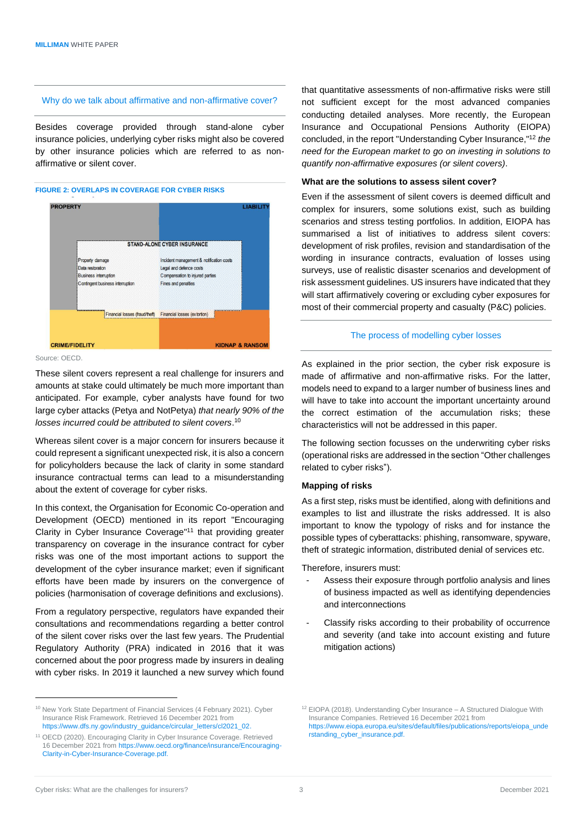## Why do we talk about affirmative and non-affirmative cover?

Besides coverage provided through stand-alone cyber insurance policies, underlying cyber risks might also be covered by other insurance policies which are referred to as nonaffirmative or silent cover.





Source: OECD.

These silent covers represent a real challenge for insurers and amounts at stake could ultimately be much more important than anticipated. For example, cyber analysts have found for two large cyber attacks (Petya and NotPetya) *that nearly 90% of the losses incurred could be attributed to silent covers*. 10

Whereas silent cover is a major concern for insurers because it could represent a significant unexpected risk, it is also a concern for policyholders because the lack of clarity in some standard insurance contractual terms can lead to a misunderstanding about the extent of coverage for cyber risks.

In this context, the Organisation for Economic Co-operation and Development (OECD) mentioned in its report "Encouraging Clarity in Cyber Insurance Coverage" <sup>11</sup> that providing greater transparency on coverage in the insurance contract for cyber risks was one of the most important actions to support the development of the cyber insurance market; even if significant efforts have been made by insurers on the convergence of policies (harmonisation of coverage definitions and exclusions).

From a regulatory perspective, regulators have expanded their consultations and recommendations regarding a better control of the silent cover risks over the last few years. The Prudential Regulatory Authority (PRA) indicated in 2016 that it was concerned about the poor progress made by insurers in dealing with cyber risks. In 2019 it launched a new survey which found that quantitative assessments of non-affirmative risks were still not sufficient except for the most advanced companies conducting detailed analyses. More recently, the European Insurance and Occupational Pensions Authority (EIOPA) concluded, in the report "Understanding Cyber Insurance,"<sup>12</sup> *the need for the European market to go on investing in solutions to quantify non-affirmative exposures (or silent covers)*.

## **What are the solutions to assess silent cover?**

Even if the assessment of silent covers is deemed difficult and complex for insurers, some solutions exist, such as building scenarios and stress testing portfolios. In addition, EIOPA has summarised a list of initiatives to address silent covers: development of risk profiles, revision and standardisation of the wording in insurance contracts, evaluation of losses using surveys, use of realistic disaster scenarios and development of risk assessment guidelines. US insurers have indicated that they will start affirmatively covering or excluding cyber exposures for most of their commercial property and casualty (P&C) policies.

#### The process of modelling cyber losses

As explained in the prior section, the cyber risk exposure is made of affirmative and non-affirmative risks. For the latter, models need to expand to a larger number of business lines and will have to take into account the important uncertainty around the correct estimation of the accumulation risks; these characteristics will not be addressed in this paper.

The following section focusses on the underwriting cyber risks (operational risks are addressed in the section "Other challenges related to cyber risks").

#### **Mapping of risks**

As a first step, risks must be identified, along with definitions and examples to list and illustrate the risks addressed. It is also important to know the typology of risks and for instance the possible types of cyberattacks: phishing, ransomware, spyware, theft of strategic information, distributed denial of services etc.

Therefore, insurers must:

- Assess their exposure through portfolio analysis and lines of business impacted as well as identifying dependencies and interconnections
- Classify risks according to their probability of occurrence and severity (and take into account existing and future mitigation actions)

<sup>&</sup>lt;sup>10</sup> New York State Department of Financial Services (4 February 2021). Cyber Insurance Risk Framework. Retrieved 16 December 2021 from [https://www.dfs.ny.gov/industry\\_guidance/circular\\_letters/cl2021\\_02.](https://www.dfs.ny.gov/industry_guidance/circular_letters/cl2021_02)

<sup>11</sup> OECD (2020). Encouraging Clarity in Cyber Insurance Coverage. Retrieved 16 December 2021 fro[m https://www.oecd.org/finance/insurance/Encouraging-](https://www.oecd.org/finance/insurance/Encouraging-Clarity-in-Cyber-Insurance-Coverage.pdf)[Clarity-in-Cyber-Insurance-Coverage.pdf.](https://www.oecd.org/finance/insurance/Encouraging-Clarity-in-Cyber-Insurance-Coverage.pdf)

<sup>12</sup> EIOPA (2018). Understanding Cyber Insurance – A Structured Dialogue With Insurance Companies. Retrieved 16 December 2021 from [https://www.eiopa.europa.eu/sites/default/files/publications/reports/eiopa\\_unde](https://www.eiopa.europa.eu/sites/default/files/publications/reports/eiopa_understanding_cyber_insurance.pdf) [rstanding\\_cyber\\_insurance.pdf.](https://www.eiopa.europa.eu/sites/default/files/publications/reports/eiopa_understanding_cyber_insurance.pdf)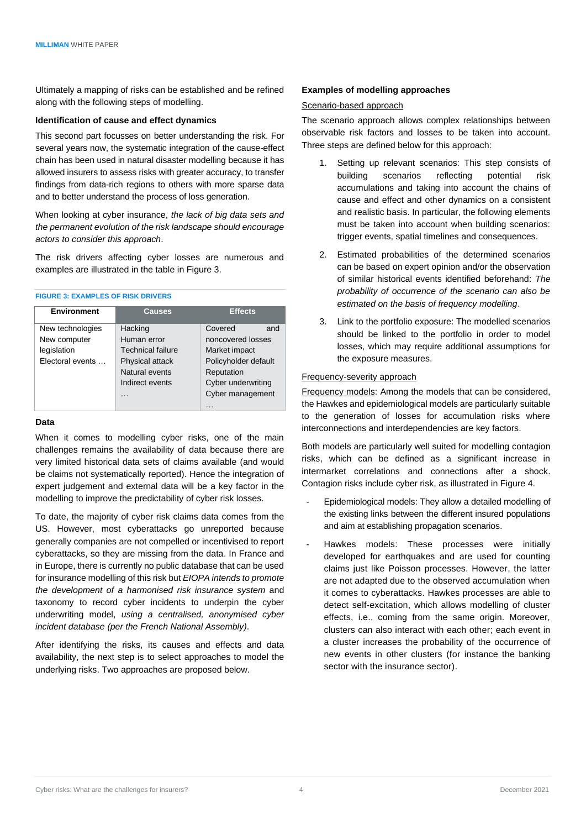Ultimately a mapping of risks can be established and be refined along with the following steps of modelling.

## **Identification of cause and effect dynamics**

This second part focusses on better understanding the risk. For several years now, the systematic integration of the cause-effect chain has been used in natural disaster modelling because it has allowed insurers to assess risks with greater accuracy, to transfer findings from data-rich regions to others with more sparse data and to better understand the process of loss generation.

When looking at cyber insurance, *the lack of big data sets and the permanent evolution of the risk landscape should encourage actors to consider this approach*.

The risk drivers affecting cyber losses are numerous and examples are illustrated in the table in Figure 3.

#### **FIGURE 3: EXAMPLES OF RISK DRIVERS**

| <b>Environment</b> | Causes                   | <b>Effects</b>       |
|--------------------|--------------------------|----------------------|
| New technologies   | Hacking                  | Covered<br>and       |
| New computer       | Human error              | noncovered losses    |
| legislation        | <b>Technical failure</b> | Market impact        |
| Electoral events   | Physical attack          | Policyholder default |
|                    | Natural events           | Reputation           |
|                    | Indirect events          | Cyber underwriting   |
|                    | $\cdots$                 | Cyber management     |
|                    |                          | $\cdots$             |

## **Data**

When it comes to modelling cyber risks, one of the main challenges remains the availability of data because there are very limited historical data sets of claims available (and would be claims not systematically reported). Hence the integration of expert judgement and external data will be a key factor in the modelling to improve the predictability of cyber risk losses.

To date, the majority of cyber risk claims data comes from the US. However, most cyberattacks go unreported because generally companies are not compelled or incentivised to report cyberattacks, so they are missing from the data. In France and in Europe, there is currently no public database that can be used for insurance modelling of this risk but *EIOPA intends to promote the development of a harmonised risk insurance system* and taxonomy to record cyber incidents to underpin the cyber underwriting model, *using a centralised, anonymised cyber incident database (per the French National Assembly)*.

After identifying the risks, its causes and effects and data availability, the next step is to select approaches to model the underlying risks. Two approaches are proposed below.

## **Examples of modelling approaches**

## Scenario-based approach

The scenario approach allows complex relationships between observable risk factors and losses to be taken into account. Three steps are defined below for this approach:

- 1. Setting up relevant scenarios: This step consists of building scenarios reflecting potential risk accumulations and taking into account the chains of cause and effect and other dynamics on a consistent and realistic basis. In particular, the following elements must be taken into account when building scenarios: trigger events, spatial timelines and consequences.
- 2. Estimated probabilities of the determined scenarios can be based on expert opinion and/or the observation of similar historical events identified beforehand: *The probability of occurrence of the scenario can also be estimated on the basis of frequency modelling*.
- 3. Link to the portfolio exposure: The modelled scenarios should be linked to the portfolio in order to model losses, which may require additional assumptions for the exposure measures.

## Frequency-severity approach

Frequency models: Among the models that can be considered, the Hawkes and epidemiological models are particularly suitable to the generation of losses for accumulation risks where interconnections and interdependencies are key factors.

Both models are particularly well suited for modelling contagion risks, which can be defined as a significant increase in intermarket correlations and connections after a shock. Contagion risks include cyber risk, as illustrated in Figure 4.

- Epidemiological models: They allow a detailed modelling of the existing links between the different insured populations and aim at establishing propagation scenarios.
- Hawkes models: These processes were initially developed for earthquakes and are used for counting claims just like Poisson processes. However, the latter are not adapted due to the observed accumulation when it comes to cyberattacks. Hawkes processes are able to detect self-excitation, which allows modelling of cluster effects, i.e., coming from the same origin. Moreover, clusters can also interact with each other; each event in a cluster increases the probability of the occurrence of new events in other clusters (for instance the banking sector with the insurance sector).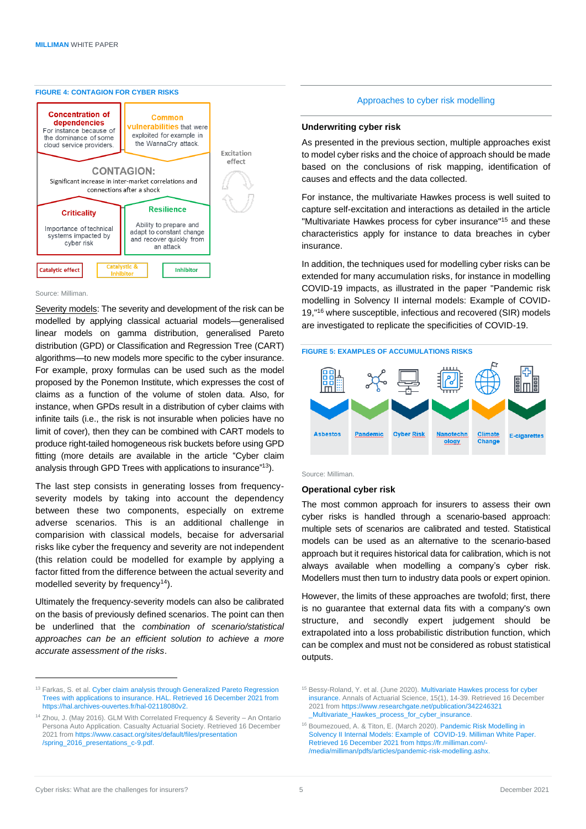#### **FIGURE 4: CONTAGION FOR CYBER RISKS**



#### Source: Milliman.

Severity models: The severity and development of the risk can be modelled by applying classical actuarial models—generalised linear models on gamma distribution, generalised Pareto distribution (GPD) or Classification and Regression Tree (CART) algorithms—to new models more specific to the cyber insurance. For example, proxy formulas can be used such as the model proposed by the Ponemon Institute, which expresses the cost of claims as a function of the volume of stolen data. Also, for instance, when GPDs result in a distribution of cyber claims with infinite tails (i.e., the risk is not insurable when policies have no limit of cover), then they can be combined with CART models to produce right-tailed homogeneous risk buckets before using GPD fitting (more details are available in the article "Cyber claim analysis through GPD Trees with applications to insurance" <sup>13</sup>).

The last step consists in generating losses from frequencyseverity models by taking into account the dependency between these two components, especially on extreme adverse scenarios. This is an additional challenge in comparision with classical models, becaise for adversarial risks like cyber the frequency and severity are not independent (this relation could be modelled for example by applying a factor fitted from the difference between the actual severity and modelled severity by frequency<sup>14</sup>).

Ultimately the frequency-severity models can also be calibrated on the basis of previously defined scenarios. The point can then be underlined that the *combination of scenario/statistical approaches can be an efficient solution to achieve a more accurate assessment of the risks*.

## Approaches to cyber risk modelling

#### **Underwriting cyber risk**

As presented in the previous section, multiple approaches exist to model cyber risks and the choice of approach should be made based on the conclusions of risk mapping, identification of causes and effects and the data collected.

For instance, the multivariate Hawkes process is well suited to capture self-excitation and interactions as detailed in the article "Multivariate Hawkes process for cyber insurance"<sup>15</sup> and these characteristics apply for instance to data breaches in cyber insurance.

In addition, the techniques used for modelling cyber risks can be extended for many accumulation risks, for instance in modelling COVID-19 impacts, as illustrated in the paper "Pandemic risk modelling in Solvency II internal models: Example of COVID-19,"<sup>16</sup> where susceptible, infectious and recovered (SIR) models are investigated to replicate the specificities of COVID-19.

## **FIGURE 5: EXAMPLES OF ACCUMULATIONS RISKS**



Source: Milliman.

## **Operational cyber risk**

The most common approach for insurers to assess their own cyber risks is handled through a scenario-based approach: multiple sets of scenarios are calibrated and tested. Statistical models can be used as an alternative to the scenario-based approach but it requires historical data for calibration, which is not always available when modelling a company's cyber risk. Modellers must then turn to industry data pools or expert opinion.

However, the limits of these approaches are twofold; first, there is no guarantee that external data fits with a company's own structure, and secondly expert judgement should be extrapolated into a loss probabilistic distribution function, which can be complex and must not be considered as robust statistical outputs.

<sup>&</sup>lt;sup>13</sup> Farkas, S. et al. [Cyber claim analysis through Generalized Pareto Regression](https://hal.archives-ouvertes.fr/hal-02118080v2) [Trees with applications to insurance.](https://hal.archives-ouvertes.fr/hal-02118080v2) HAL. Retrieved 16 December 2021 from https://hal.archives-ouvertes.fr/hal-02118080v2.

<sup>14</sup> Zhou, J. (May 2016). GLM With Correlated Frequency & Severity – An Ontario Persona Auto Application. Casualty Actuarial Society. Retrieved 16 December 2021 fro[m https://www.casact.org/sites/default/files/presentation](https://www.casact.org/sites/default/files/presentation%0b/spring_2016_presentations_c-9.pdf) [/spring\\_2016\\_presentations\\_c-9.pdf.](https://www.casact.org/sites/default/files/presentation%0b/spring_2016_presentations_c-9.pdf)

<sup>&</sup>lt;sup>15</sup> Bessy-Roland, Y. et al. (June 2020). Multivariate Hawkes process for cyber [insurance.](https://www.researchgate.net/publication/342246321_Multivariate_Hawkes_process_for_cyber_insurance) Annals of Actuarial Science, 15(1), 14-39. Retrieved 16 December 2021 fro[m https://www.researchgate.net/publication/342246321](https://www.researchgate.net/publication/342246321%0b_Multivariate_Hawkes_process_for_cyber_insurance) [\\_Multivariate\\_Hawkes\\_process\\_for\\_cyber\\_insurance.](https://www.researchgate.net/publication/342246321%0b_Multivariate_Hawkes_process_for_cyber_insurance)

<sup>16</sup> Boumezoued, A. & Titon, E. (March 2020). [Pandemic Risk Modelling in](https://fr.milliman.com/-/media/milliman/pdfs/articles/pandemic-risk-modelling.ashx)  [Solvency II Internal Models: Example of COVID-19.](https://fr.milliman.com/-/media/milliman/pdfs/articles/pandemic-risk-modelling.ashx) Milliman White Paper. Retrieved 16 December 2021 from https://fr.milliman.com/- /media/milliman/pdfs/articles/pandemic-risk-modelling.ashx.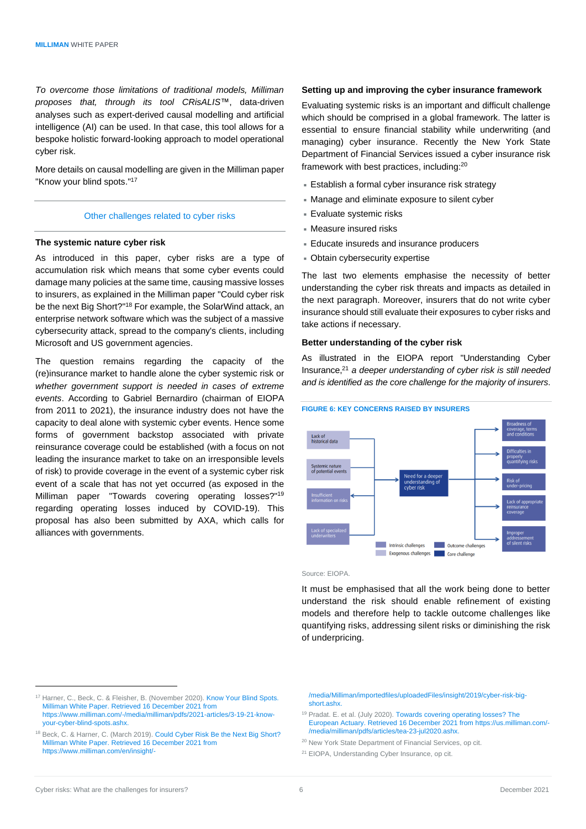*To overcome those limitations of traditional models, Milliman proposes that, through its tool CRisALIS*™, data-driven analyses such as expert-derived causal modelling and artificial intelligence (AI) can be used. In that case, this tool allows for a bespoke holistic forward-looking approach to model operational cyber risk.

More details on causal modelling are given in the Milliman paper "Know your blind spots."<sup>17</sup>

#### Other challenges related to cyber risks

## **The systemic nature cyber risk**

As introduced in this paper, cyber risks are a type of accumulation risk which means that some cyber events could damage many policies at the same time, causing massive losses to insurers, as explained in the Milliman paper "Could cyber risk be the next Big Short?"<sup>18</sup> For example, the SolarWind attack, an enterprise network software which was the subject of a massive cybersecurity attack, spread to the company's clients, including Microsoft and US government agencies.

The question remains regarding the capacity of the (re)insurance market to handle alone the cyber systemic risk or *whether government support is needed in cases of extreme events*. According to Gabriel Bernardiro (chairman of EIOPA from 2011 to 2021), the insurance industry does not have the capacity to deal alone with systemic cyber events. Hence some forms of government backstop associated with private reinsurance coverage could be established (with a focus on not leading the insurance market to take on an irresponsible levels of risk) to provide coverage in the event of a systemic cyber risk event of a scale that has not yet occurred (as exposed in the Milliman paper "Towards covering operating losses?" 19 regarding operating losses induced by COVID-19). This proposal has also been submitted by AXA, which calls for alliances with governments.

### **Setting up and improving the cyber insurance framework**

Evaluating systemic risks is an important and difficult challenge which should be comprised in a global framework. The latter is essential to ensure financial stability while underwriting (and managing) cyber insurance. Recently the New York State Department of Financial Services issued a cyber insurance risk framework with best practices, including:<sup>20</sup>

- Establish a formal cyber insurance risk strategy
- Manage and eliminate exposure to silent cyber
- Evaluate systemic risks
- Measure insured risks
- Educate insureds and insurance producers
- Obtain cybersecurity expertise

The last two elements emphasise the necessity of better understanding the cyber risk threats and impacts as detailed in the next paragraph. Moreover, insurers that do not write cyber insurance should still evaluate their exposures to cyber risks and take actions if necessary.

## **Better understanding of the cyber risk**

As illustrated in the EIOPA report "Understanding Cyber Insurance, <sup>21</sup> *a deeper understanding of cyber risk is still needed and is identified as the core challenge for the majority of insurers*.



Source: EIOPA.

It must be emphasised that all the work being done to better understand the risk should enable refinement of existing models and therefore help to tackle outcome challenges like quantifying risks, addressing silent risks or diminishing the risk of underpricing.

/media/Milliman/importedfiles/uploadedFiles/insight/2019/cyber-risk-bigshort ashx.

- <sup>19</sup> Pradat. E. et al. (July 2020)[. Towards covering operating losses?](https://us.milliman.com/-/media/milliman/pdfs/articles/tea-23-jul2020.ashx) The European Actuary. Retrieved 16 December 2021 from https://us.milliman.com/- /media/milliman/pdfs/articles/tea-23-jul2020.ashx.
- <sup>20</sup> New York State Department of Financial Services, op cit.
- <sup>21</sup> EIOPA, Understanding Cyber Insurance, op cit.

<sup>&</sup>lt;sup>17</sup> Harner, C., Beck, C. & Fleisher, B. (November 2020). Know Your Blind Spots. Milliman White Paper. Retrieved 16 December 2021 from https://www.milliman.com/-/media/milliman/pdfs/2021-articles/3-19-21-knowyour-cyber-blind-spots.ashx.

<sup>18</sup> Beck, C. & Harner, C. (March 2019)[. Could Cyber Risk Be the Next Big Short?](https://www.milliman.com/en/insight/could-cyber-risk-be-the-next-big-short) Milliman White Paper. Retrieved 16 December 2021 from https://www.milliman.com/en/insight/-